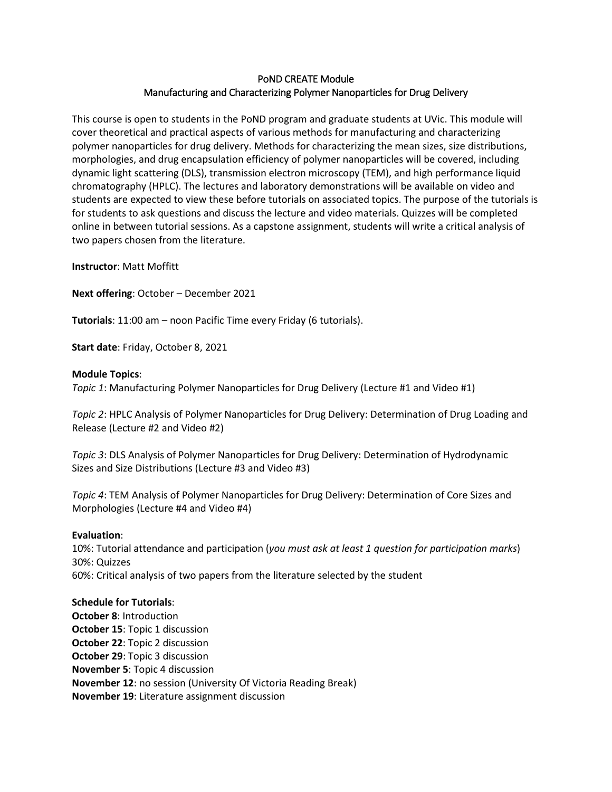### PoND CREATE Module Manufacturing and Characterizing Polymer Nanoparticles for Drug Delivery

This course is open to students in the PoND program and graduate students at UVic. This module will cover theoretical and practical aspects of various methods for manufacturing and characterizing polymer nanoparticles for drug delivery. Methods for characterizing the mean sizes, size distributions, morphologies, and drug encapsulation efficiency of polymer nanoparticles will be covered, including dynamic light scattering (DLS), transmission electron microscopy (TEM), and high performance liquid chromatography (HPLC). The lectures and laboratory demonstrations will be available on video and students are expected to view these before tutorials on associated topics. The purpose of the tutorials is for students to ask questions and discuss the lecture and video materials. Quizzes will be completed online in between tutorial sessions. As a capstone assignment, students will write a critical analysis of two papers chosen from the literature.

**Instructor**: Matt Moffitt

**Next offering**: October – December 2021

**Tutorials**: 11:00 am – noon Pacific Time every Friday (6 tutorials).

**Start date**: Friday, October 8, 2021

#### **Module Topics**:

*Topic 1*: Manufacturing Polymer Nanoparticles for Drug Delivery (Lecture #1 and Video #1)

*Topic 2*: HPLC Analysis of Polymer Nanoparticles for Drug Delivery: Determination of Drug Loading and Release (Lecture #2 and Video #2)

*Topic 3*: DLS Analysis of Polymer Nanoparticles for Drug Delivery: Determination of Hydrodynamic Sizes and Size Distributions (Lecture #3 and Video #3)

*Topic 4*: TEM Analysis of Polymer Nanoparticles for Drug Delivery: Determination of Core Sizes and Morphologies (Lecture #4 and Video #4)

#### **Evaluation**:

10%: Tutorial attendance and participation (*you must ask at least 1 question for participation marks*) 30%: Quizzes 60%: Critical analysis of two papers from the literature selected by the student

#### **Schedule for Tutorials**:

**October 8**: Introduction **October 15**: Topic 1 discussion **October 22**: Topic 2 discussion **October 29**: Topic 3 discussion **November 5**: Topic 4 discussion **November 12**: no session (University Of Victoria Reading Break) **November 19**: Literature assignment discussion